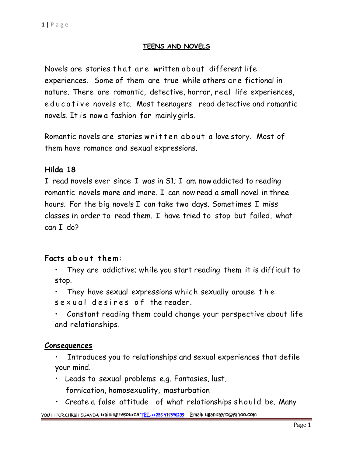# **TEENS AND NOVELS**

TEENS AND NOVELS<br>Novels are stories that are written about different life<br>experiences. Some of them are true while others are fictional in nature. There are romantic, detective, horror, real life experiences, Novels are stories that are written about different life<br>experiences. Some of them are true while others are fictional in<br>nature. There are romantic, detective, horror, real life experiences,<br>educative novels etc. Most tee novels. It is now a fashion for mainly girls. educative novels etc. Most teenagers read detective and romantic<br>novels. It is now a fashion for mainly girls.<br>Romantic novels are stories written about a love story. Most of

them have romance and sexual expressions.

## **Hilda 18**

I read novels ever since I was in S1; I am now addicted to reading romantic novels more and more. I can now read a small novel in three hours. For the big novels I can take two days. Sometimes I miss classes in order to read them. I have tried to stop but failed, what can I do? reasses in order to read them. I have tried to stop but failed, what<br>**Facts a b o u t** them:<br>• They are addictive; while you start reading them it is difficult to

- stop. rts about them:<br>• They are addictive; while you start reading them it is difficult to<br>stop.<br>• They have sexual expressions which sexually arouse the<br>sexual desires of the reader. Facts a bout them:<br>
• They are addictive; while you start reading them it is difficult to<br>
stop.<br>
• They have sexual expressions which sexually arouse the<br>
sexual desires of the reader.<br>
• Constant reading them could chan
	-
	- and relationships.

## **Consequences**

- Introduces you to relationships and sexual experiences that defile your mind.
- Leads to sexual problems e.g. Fantasies, lust, fornication, homosexuality, masturbation
- Create a false attitude of what relationships should be. Many

**YOUTH FOR CHRIST UGANDA training resource TEL :+256 414346299 Email: ugandayfc@yahoo.com**